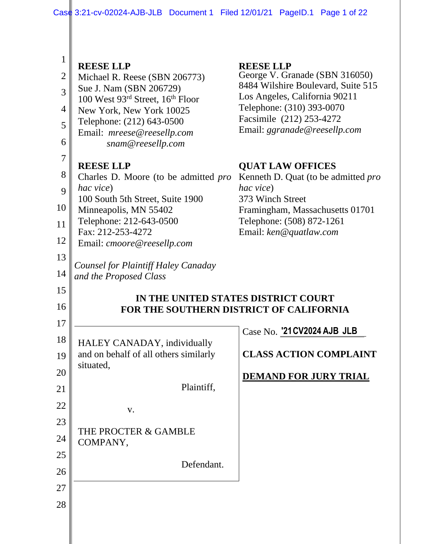| $\mathbf{1}$   | <b>REESE LLP</b>                                             | <b>REESE LLP</b>                                                    |  |  |  |  |  |
|----------------|--------------------------------------------------------------|---------------------------------------------------------------------|--|--|--|--|--|
| $\overline{2}$ | Michael R. Reese (SBN 206773)                                | George V. Granade (SBN 316050)                                      |  |  |  |  |  |
| $\overline{3}$ | Sue J. Nam (SBN 206729)                                      | 8484 Wilshire Boulevard, Suite 515<br>Los Angeles, California 90211 |  |  |  |  |  |
| $\overline{4}$ | 100 West 93rd Street, 16th Floor<br>New York, New York 10025 | Telephone: (310) 393-0070                                           |  |  |  |  |  |
| 5              | Telephone: (212) 643-0500                                    | Facsimile (212) 253-4272                                            |  |  |  |  |  |
| 6              | Email: mreese@reesellp.com<br>snam@reesellp.com              | Email: ggranade@reesellp.com                                        |  |  |  |  |  |
| $\overline{7}$ |                                                              |                                                                     |  |  |  |  |  |
| 8              | <b>REESE LLP</b>                                             | <b>QUAT LAW OFFICES</b>                                             |  |  |  |  |  |
| 9              | Charles D. Moore (to be admitted <i>pro</i><br>hac vice)     | Kenneth D. Quat (to be admitted <i>pro</i><br>hac vice)             |  |  |  |  |  |
|                | 100 South 5th Street, Suite 1900                             | 373 Winch Street                                                    |  |  |  |  |  |
| 10             | Minneapolis, MN 55402<br>Telephone: 212-643-0500             | Framingham, Massachusetts 01701<br>Telephone: (508) 872-1261        |  |  |  |  |  |
| 11             | Fax: 212-253-4272                                            | Email: ken@quatlaw.com                                              |  |  |  |  |  |
| 12             | Email: cmoore@reesellp.com                                   |                                                                     |  |  |  |  |  |
| 13             | <b>Counsel for Plaintiff Haley Canaday</b>                   |                                                                     |  |  |  |  |  |
| 14             | and the Proposed Class                                       |                                                                     |  |  |  |  |  |
| 15             | IN THE UNITED STATES DISTRICT COURT                          |                                                                     |  |  |  |  |  |
|                |                                                              |                                                                     |  |  |  |  |  |
| 16             |                                                              | <b>FOR THE SOUTHERN DISTRICT OF CALIFORNIA</b>                      |  |  |  |  |  |
| 17             |                                                              |                                                                     |  |  |  |  |  |
| 18             | HALEY CANADAY, individually                                  | Case No. '21 CV2024 AJB JLB                                         |  |  |  |  |  |
| 19             | and on behalf of all others similarly                        | <b>CLASS ACTION COMPLAINT</b>                                       |  |  |  |  |  |
| 20             | situated,                                                    | <b>DEMAND FOR JURY TRIAL</b>                                        |  |  |  |  |  |
| 21             | Plaintiff,                                                   |                                                                     |  |  |  |  |  |
| 22             |                                                              |                                                                     |  |  |  |  |  |
| 23             | V.                                                           |                                                                     |  |  |  |  |  |
| 24             | THE PROCTER & GAMBLE                                         |                                                                     |  |  |  |  |  |
| 25             | COMPANY,                                                     |                                                                     |  |  |  |  |  |
| 26             | Defendant.                                                   |                                                                     |  |  |  |  |  |
| 27             |                                                              |                                                                     |  |  |  |  |  |
| 28             |                                                              |                                                                     |  |  |  |  |  |
|                |                                                              |                                                                     |  |  |  |  |  |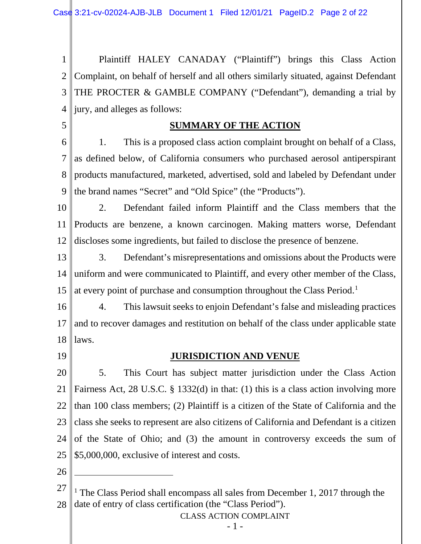1 2 3 4 Plaintiff HALEY CANADAY ("Plaintiff") brings this Class Action Complaint, on behalf of herself and all others similarly situated, against Defendant THE PROCTER & GAMBLE COMPANY ("Defendant"), demanding a trial by jury, and alleges as follows:

**SUMMARY OF THE ACTION**

6 7 8 9 1. This is a proposed class action complaint brought on behalf of a Class, as defined below, of California consumers who purchased aerosol antiperspirant products manufactured, marketed, advertised, sold and labeled by Defendant under the brand names "Secret" and "Old Spice" (the "Products").

10 11 12 2. Defendant failed inform Plaintiff and the Class members that the Products are benzene, a known carcinogen. Making matters worse, Defendant discloses some ingredients, but failed to disclose the presence of benzene.

13 14 15 3. Defendant's misrepresentations and omissions about the Products were uniform and were communicated to Plaintiff, and every other member of the Class, at every point of purchase and consumption throughout the Class Period.1

16 17 18 4. This lawsuit seeks to enjoin Defendant's false and misleading practices and to recover damages and restitution on behalf of the class under applicable state laws.

19

5

## **JURISDICTION AND VENUE**

20 21 22 23 24 25 5. This Court has subject matter jurisdiction under the Class Action Fairness Act, 28 U.S.C. § 1332(d) in that: (1) this is a class action involving more than 100 class members; (2) Plaintiff is a citizen of the State of California and the class she seeks to represent are also citizens of California and Defendant is a citizen of the State of Ohio; and (3) the amount in controversy exceeds the sum of \$5,000,000, exclusive of interest and costs.

26

 $\overline{a}$ 

27 28 <sup>1</sup> The Class Period shall encompass all sales from December 1, 2017 through the date of entry of class certification (the "Class Period").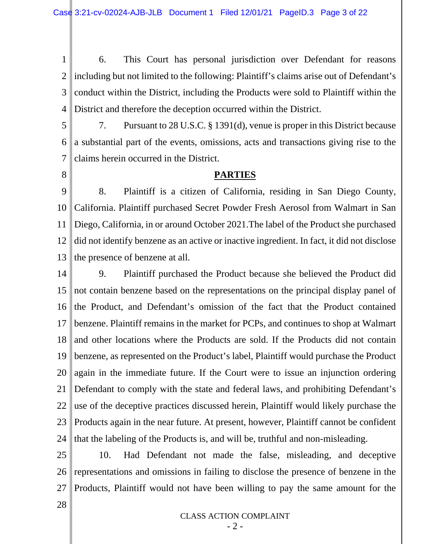1 2 3 4 6. This Court has personal jurisdiction over Defendant for reasons including but not limited to the following: Plaintiff's claims arise out of Defendant's conduct within the District, including the Products were sold to Plaintiff within the District and therefore the deception occurred within the District.

- 5 6 7 7. Pursuant to 28 U.S.C. § 1391(d), venue is proper in this District because a substantial part of the events, omissions, acts and transactions giving rise to the claims herein occurred in the District.
- 8

## **PARTIES**

9 10 11 12 13 8. Plaintiff is a citizen of California, residing in San Diego County, California. Plaintiff purchased Secret Powder Fresh Aerosol from Walmart in San Diego, California, in or around October 2021.The label of the Product she purchased did not identify benzene as an active or inactive ingredient. In fact, it did not disclose the presence of benzene at all.

14 15 16 17 18 19 20 21 22 23 24 9. Plaintiff purchased the Product because she believed the Product did not contain benzene based on the representations on the principal display panel of the Product, and Defendant's omission of the fact that the Product contained benzene. Plaintiff remains in the market for PCPs, and continues to shop at Walmart and other locations where the Products are sold. If the Products did not contain benzene, as represented on the Product's label, Plaintiff would purchase the Product again in the immediate future. If the Court were to issue an injunction ordering Defendant to comply with the state and federal laws, and prohibiting Defendant's use of the deceptive practices discussed herein, Plaintiff would likely purchase the Products again in the near future. At present, however, Plaintiff cannot be confident that the labeling of the Products is, and will be, truthful and non-misleading.

25 26 27 10. Had Defendant not made the false, misleading, and deceptive representations and omissions in failing to disclose the presence of benzene in the Products, Plaintiff would not have been willing to pay the same amount for the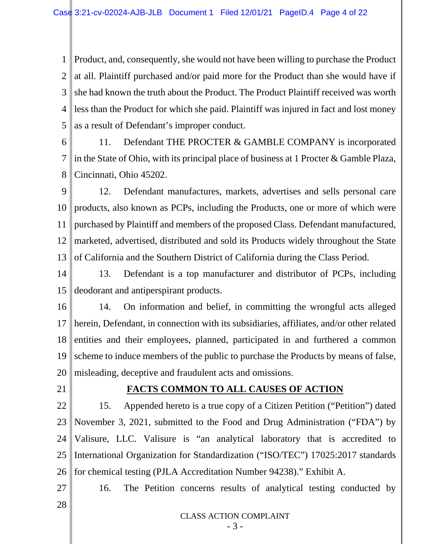1 2 3 4 5 Product, and, consequently, she would not have been willing to purchase the Product at all. Plaintiff purchased and/or paid more for the Product than she would have if she had known the truth about the Product. The Product Plaintiff received was worth less than the Product for which she paid. Plaintiff was injured in fact and lost money as a result of Defendant's improper conduct.

- 6 7 8 11. Defendant THE PROCTER & GAMBLE COMPANY is incorporated in the State of Ohio, with its principal place of business at 1 Procter & Gamble Plaza, Cincinnati, Ohio 45202.
- 9 10 11 12 13 12. Defendant manufactures, markets, advertises and sells personal care products, also known as PCPs, including the Products, one or more of which were purchased by Plaintiff and members of the proposed Class. Defendant manufactured, marketed, advertised, distributed and sold its Products widely throughout the State of California and the Southern District of California during the Class Period.
- 14 15 13. Defendant is a top manufacturer and distributor of PCPs, including deodorant and antiperspirant products.
- 16 17 18 19 20 14. On information and belief, in committing the wrongful acts alleged herein, Defendant, in connection with its subsidiaries, affiliates, and/or other related entities and their employees, planned, participated in and furthered a common scheme to induce members of the public to purchase the Products by means of false, misleading, deceptive and fraudulent acts and omissions.
- 21

## **FACTS COMMON TO ALL CAUSES OF ACTION**

- 22 23 24 25 26 15. Appended hereto is a true copy of a Citizen Petition ("Petition") dated November 3, 2021, submitted to the Food and Drug Administration ("FDA") by Valisure, LLC. Valisure is "an analytical laboratory that is accredited to International Organization for Standardization ("ISO/TEC") 17025:2017 standards for chemical testing (PJLA Accreditation Number 94238)." Exhibit A.
- 27

16. The Petition concerns results of analytical testing conducted by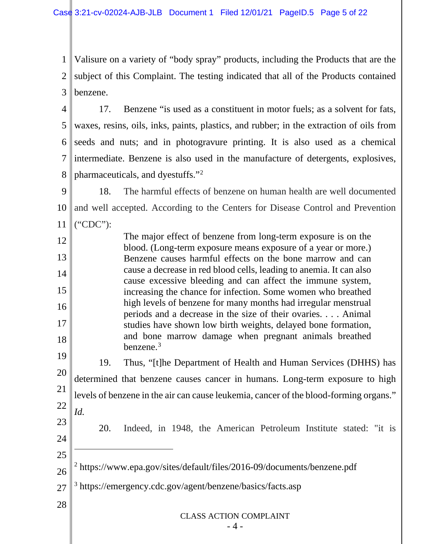1 2 3 Valisure on a variety of "body spray" products, including the Products that are the subject of this Complaint. The testing indicated that all of the Products contained benzene.

4 5 6 7 8 17. Benzene "is used as a constituent in motor fuels; as a solvent for fats, waxes, resins, oils, inks, paints, plastics, and rubber; in the extraction of oils from seeds and nuts; and in photogravure printing. It is also used as a chemical intermediate. Benzene is also used in the manufacture of detergents, explosives, pharmaceuticals, and dyestuffs."2

9 10 11 18. The harmful effects of benzene on human health are well documented and well accepted. According to the Centers for Disease Control and Prevention ("CDC"):

12 13 14 15 16 17 18 The major effect of benzene from long-term exposure is on the blood. (Long-term exposure means exposure of a year or more.) Benzene causes harmful effects on the bone marrow and can cause a decrease in red blood cells, leading to anemia. It can also cause excessive bleeding and can affect the immune system, increasing the chance for infection. Some women who breathed high levels of benzene for many months had irregular menstrual periods and a decrease in the size of their ovaries. . . . Animal studies have shown low birth weights, delayed bone formation, and bone marrow damage when pregnant animals breathed benzene. $3$ 

19 20 21 22 23 19. Thus, "[t]he Department of Health and Human Services (DHHS) has determined that benzene causes cancer in humans. Long-term exposure to high levels of benzene in the air can cause leukemia, cancer of the blood-forming organs." *Id.*

20. Indeed, in 1948, the American Petroleum Institute stated: "it is

- 26 <sup>2</sup> https://www.epa.gov/sites/default/files/2016-09/documents/benzene.pdf
- 27 <sup>3</sup> https://emergency.cdc.gov/agent/benzene/basics/facts.asp

24

25

 $\overline{a}$ 

28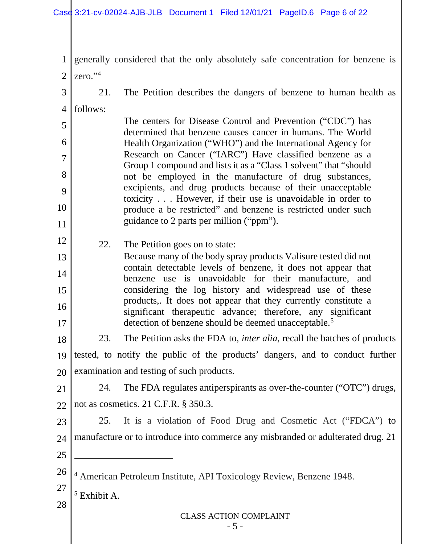CLASS ACTION COMPLAINT - 5 - 1 2 3 4 5 6 7 8 9 10 11 12 13 14 15 16 17 18 19 20 21  $22.1$ 23 24 25 26 27 28 generally considered that the only absolutely safe concentration for benzene is zero."4 21. The Petition describes the dangers of benzene to human health as follows: The centers for Disease Control and Prevention ("CDC") has determined that benzene causes cancer in humans. The World Health Organization ("WHO") and the International Agency for Research on Cancer ("IARC") Have classified benzene as a Group 1 compound and lists it as a "Class 1 solvent" that "should not be employed in the manufacture of drug substances, excipients, and drug products because of their unacceptable toxicity . . . However, if their use is unavoidable in order to produce a be restricted" and benzene is restricted under such guidance to 2 parts per million ("ppm"). 22. The Petition goes on to state: Because many of the body spray products Valisure tested did not contain detectable levels of benzene, it does not appear that benzene use is unavoidable for their manufacture, and considering the log history and widespread use of these products,. It does not appear that they currently constitute a significant therapeutic advance; therefore, any significant detection of benzene should be deemed unacceptable.<sup>5</sup> 23. The Petition asks the FDA to, *inter alia,* recall the batches of products tested, to notify the public of the products' dangers, and to conduct further examination and testing of such products. 24. The FDA regulates antiperspirants as over-the-counter ("OTC") drugs, not as cosmetics. 21 C.F.R. § 350.3. 25. It is a violation of Food Drug and Cosmetic Act ("FDCA") to manufacture or to introduce into commerce any misbranded or adulterated drug. 21  $\overline{a}$ <sup>4</sup> American Petroleum Institute, API Toxicology Review, Benzene 1948.  $<sup>5</sup>$  Exhibit A.</sup>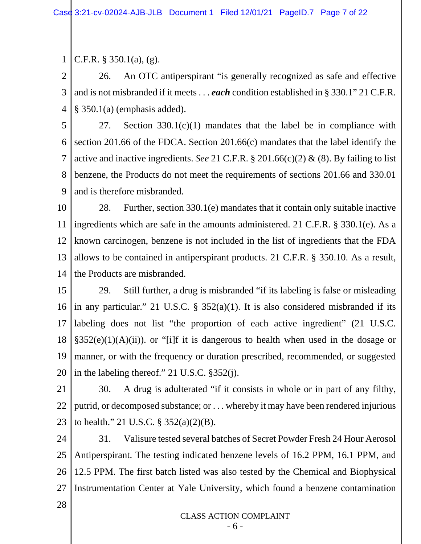1 C.F.R. § 350.1(a), (g).

2 3 4 26. An OTC antiperspirant "is generally recognized as safe and effective and is not misbranded if it meets . . . *each* condition established in § 330.1" 21 C.F.R. § 350.1(a) (emphasis added).

5 6 7 8 9 27. Section 330.1(c)(1) mandates that the label be in compliance with section 201.66 of the FDCA. Section 201.66(c) mandates that the label identify the active and inactive ingredients. *See* 21 C.F.R. § 201.66(c)(2) & (8). By failing to list benzene, the Products do not meet the requirements of sections 201.66 and 330.01 and is therefore misbranded.

10 11 12 13 14 28. Further, section 330.1(e) mandates that it contain only suitable inactive ingredients which are safe in the amounts administered. 21 C.F.R. § 330.1(e). As a known carcinogen, benzene is not included in the list of ingredients that the FDA allows to be contained in antiperspirant products. 21 C.F.R. § 350.10. As a result, the Products are misbranded.

15 16 17 18 19 20 29. Still further, a drug is misbranded "if its labeling is false or misleading in any particular." 21 U.S.C. § 352(a)(1). It is also considered misbranded if its labeling does not list "the proportion of each active ingredient" (21 U.S.C.  $§352(e)(1)(A)(ii)$ ). or "[i]f it is dangerous to health when used in the dosage or manner, or with the frequency or duration prescribed, recommended, or suggested in the labeling thereof." 21 U.S.C. §352(j).

21 22 23 30. A drug is adulterated "if it consists in whole or in part of any filthy, putrid, or decomposed substance; or . . . whereby it may have been rendered injurious to health." 21 U.S.C.  $\S 352(a)(2)(B)$ .

24 25 26 27 31. Valisure tested several batches of Secret Powder Fresh 24 Hour Aerosol Antiperspirant. The testing indicated benzene levels of 16.2 PPM, 16.1 PPM, and 12.5 PPM. The first batch listed was also tested by the Chemical and Biophysical Instrumentation Center at Yale University, which found a benzene contamination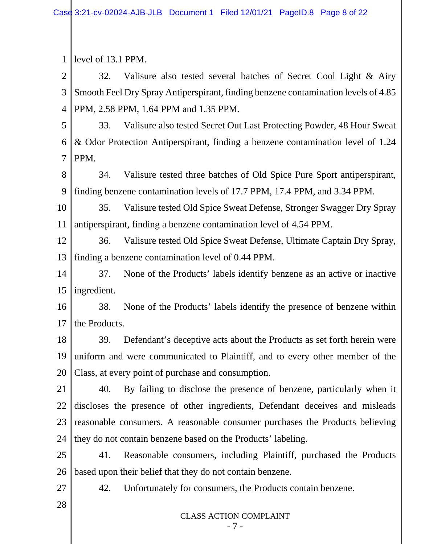CLASS ACTION COMPLAINT 1 2 3 4 5 6 7 8 9 10 11 12 13 14 15 16 17 18 19 20 21 22 23 24 25 26 27 28 level of 13.1 PPM. 32. Valisure also tested several batches of Secret Cool Light & Airy Smooth Feel Dry Spray Antiperspirant, finding benzene contamination levels of 4.85 PPM, 2.58 PPM, 1.64 PPM and 1.35 PPM. 33. Valisure also tested Secret Out Last Protecting Powder, 48 Hour Sweat & Odor Protection Antiperspirant, finding a benzene contamination level of 1.24 PPM. 34. Valisure tested three batches of Old Spice Pure Sport antiperspirant, finding benzene contamination levels of 17.7 PPM, 17.4 PPM, and 3.34 PPM. 35. Valisure tested Old Spice Sweat Defense, Stronger Swagger Dry Spray antiperspirant, finding a benzene contamination level of 4.54 PPM. 36. Valisure tested Old Spice Sweat Defense, Ultimate Captain Dry Spray, finding a benzene contamination level of 0.44 PPM. 37. None of the Products' labels identify benzene as an active or inactive ingredient. 38. None of the Products' labels identify the presence of benzene within the Products. 39. Defendant's deceptive acts about the Products as set forth herein were uniform and were communicated to Plaintiff, and to every other member of the Class, at every point of purchase and consumption. 40. By failing to disclose the presence of benzene, particularly when it discloses the presence of other ingredients, Defendant deceives and misleads reasonable consumers. A reasonable consumer purchases the Products believing they do not contain benzene based on the Products' labeling. 41. Reasonable consumers, including Plaintiff, purchased the Products based upon their belief that they do not contain benzene. 42. Unfortunately for consumers, the Products contain benzene.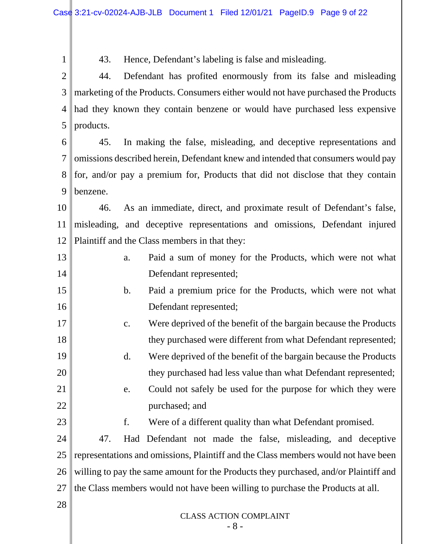CLASS ACTION COMPLAINT - 8 - 1 2 3 4 5 6 7 8 9 10 11 12 13 14 15 16 17 18 19 20 21 22 23 24 25 26 27 28 43. Hence, Defendant's labeling is false and misleading. 44. Defendant has profited enormously from its false and misleading marketing of the Products. Consumers either would not have purchased the Products had they known they contain benzene or would have purchased less expensive products. 45. In making the false, misleading, and deceptive representations and omissions described herein, Defendant knew and intended that consumers would pay for, and/or pay a premium for, Products that did not disclose that they contain benzene. 46. As an immediate, direct, and proximate result of Defendant's false, misleading, and deceptive representations and omissions, Defendant injured Plaintiff and the Class members in that they: a. Paid a sum of money for the Products, which were not what Defendant represented; b. Paid a premium price for the Products, which were not what Defendant represented; c. Were deprived of the benefit of the bargain because the Products they purchased were different from what Defendant represented; d. Were deprived of the benefit of the bargain because the Products they purchased had less value than what Defendant represented; e. Could not safely be used for the purpose for which they were purchased; and f. Were of a different quality than what Defendant promised. 47. Had Defendant not made the false, misleading, and deceptive representations and omissions, Plaintiff and the Class members would not have been willing to pay the same amount for the Products they purchased, and/or Plaintiff and the Class members would not have been willing to purchase the Products at all.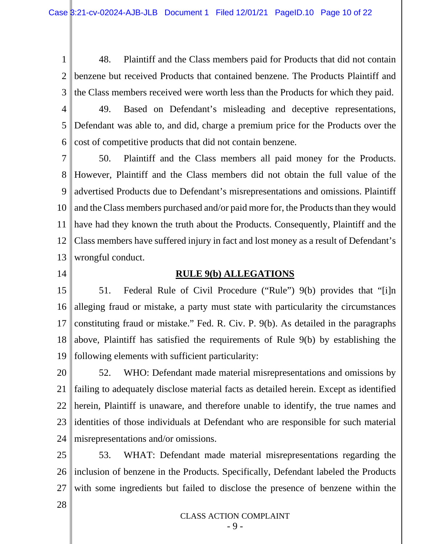1 2 3 48. Plaintiff and the Class members paid for Products that did not contain benzene but received Products that contained benzene. The Products Plaintiff and the Class members received were worth less than the Products for which they paid.

4

5

6

49. Based on Defendant's misleading and deceptive representations, Defendant was able to, and did, charge a premium price for the Products over the cost of competitive products that did not contain benzene.

7 8 9 10 11 12 13 50. Plaintiff and the Class members all paid money for the Products. However, Plaintiff and the Class members did not obtain the full value of the advertised Products due to Defendant's misrepresentations and omissions. Plaintiff and the Class members purchased and/or paid more for, the Products than they would have had they known the truth about the Products. Consequently, Plaintiff and the Class members have suffered injury in fact and lost money as a result of Defendant's wrongful conduct.

14

### **RULE 9(b) ALLEGATIONS**

15 16 17 18 19 51. Federal Rule of Civil Procedure ("Rule") 9(b) provides that "[i]n alleging fraud or mistake, a party must state with particularity the circumstances constituting fraud or mistake." Fed. R. Civ. P. 9(b). As detailed in the paragraphs above, Plaintiff has satisfied the requirements of Rule 9(b) by establishing the following elements with sufficient particularity:

20 21 22 23 24 52. WHO: Defendant made material misrepresentations and omissions by failing to adequately disclose material facts as detailed herein. Except as identified herein, Plaintiff is unaware, and therefore unable to identify, the true names and identities of those individuals at Defendant who are responsible for such material misrepresentations and/or omissions.

25 26 27 53. WHAT: Defendant made material misrepresentations regarding the inclusion of benzene in the Products. Specifically, Defendant labeled the Products with some ingredients but failed to disclose the presence of benzene within the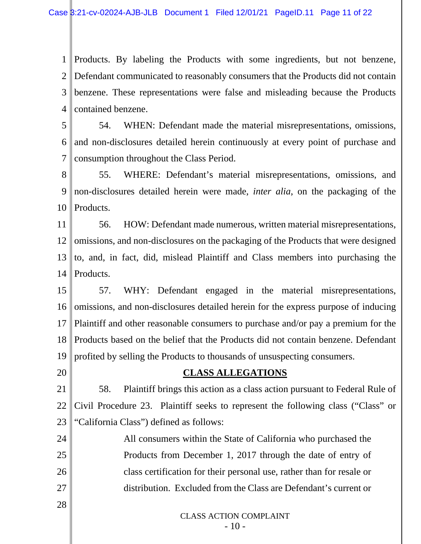1 2 Defendant communicated to reasonably consumers that the Products did not contain 3 4 Products. By labeling the Products with some ingredients, but not benzene, benzene. These representations were false and misleading because the Products contained benzene.

5 6 7 54. WHEN: Defendant made the material misrepresentations, omissions, and non-disclosures detailed herein continuously at every point of purchase and consumption throughout the Class Period.

8 9 10 55. WHERE: Defendant's material misrepresentations, omissions, and non-disclosures detailed herein were made, *inter alia*, on the packaging of the Products.

11 12 13 14 56. HOW: Defendant made numerous, written material misrepresentations, omissions, and non-disclosures on the packaging of the Products that were designed to, and, in fact, did, mislead Plaintiff and Class members into purchasing the Products.

15 16 17 18 19 57. WHY: Defendant engaged in the material misrepresentations, omissions, and non-disclosures detailed herein for the express purpose of inducing Plaintiff and other reasonable consumers to purchase and/or pay a premium for the Products based on the belief that the Products did not contain benzene. Defendant profited by selling the Products to thousands of unsuspecting consumers.

20

### **CLASS ALLEGATIONS**

21 22 23 58. Plaintiff brings this action as a class action pursuant to Federal Rule of Civil Procedure 23. Plaintiff seeks to represent the following class ("Class" or "California Class") defined as follows:

24 25 26 27 All consumers within the State of California who purchased the Products from December 1, 2017 through the date of entry of class certification for their personal use, rather than for resale or distribution. Excluded from the Class are Defendant's current or

28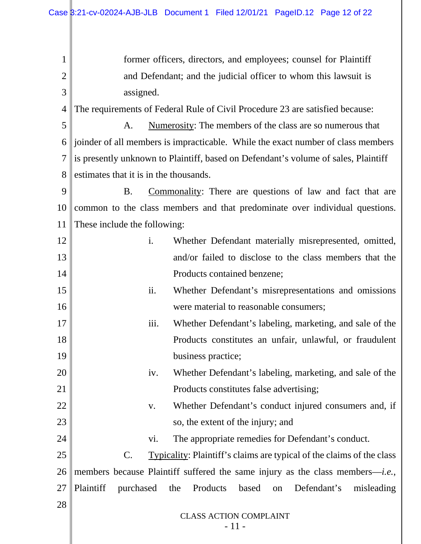CLASS ACTION COMPLAINT 1 2 3 4 5 6 joinder of all members is impracticable. While the exact number of class members 7 8 9 10 11 12 13 14 15 16 17 18 19 20 21 22 23 24 25 26 27 28 former officers, directors, and employees; counsel for Plaintiff and Defendant; and the judicial officer to whom this lawsuit is assigned. The requirements of Federal Rule of Civil Procedure 23 are satisfied because: A. Numerosity: The members of the class are so numerous that is presently unknown to Plaintiff, based on Defendant's volume of sales, Plaintiff estimates that it is in the thousands. B. Commonality: There are questions of law and fact that are common to the class members and that predominate over individual questions. These include the following: i. Whether Defendant materially misrepresented, omitted, and/or failed to disclose to the class members that the Products contained benzene; ii. Whether Defendant's misrepresentations and omissions were material to reasonable consumers; iii. Whether Defendant's labeling, marketing, and sale of the Products constitutes an unfair, unlawful, or fraudulent business practice; iv. Whether Defendant's labeling, marketing, and sale of the Products constitutes false advertising; v. Whether Defendant's conduct injured consumers and, if so, the extent of the injury; and vi. The appropriate remedies for Defendant's conduct. C. Typicality: Plaintiff's claims are typical of the claims of the class members because Plaintiff suffered the same injury as the class members—*i.e.*, Plaintiff purchased the Products based on Defendant's misleading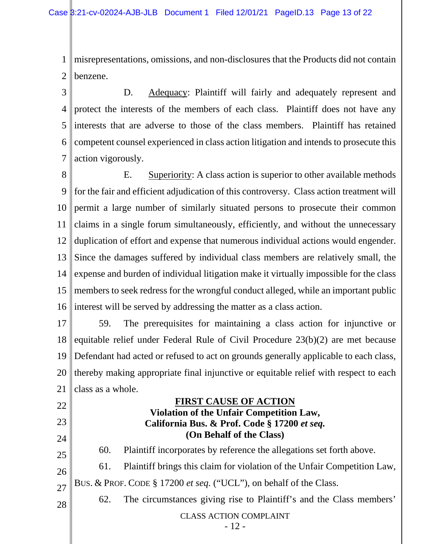1 2 misrepresentations, omissions, and non-disclosures that the Products did not contain benzene.

3 4 5 6 7 D. Adequacy: Plaintiff will fairly and adequately represent and protect the interests of the members of each class. Plaintiff does not have any interests that are adverse to those of the class members. Plaintiff has retained competent counsel experienced in class action litigation and intends to prosecute this action vigorously.

8 9 10 11 12 13 14 15 16 E. Superiority: A class action is superior to other available methods for the fair and efficient adjudication of this controversy. Class action treatment will permit a large number of similarly situated persons to prosecute their common claims in a single forum simultaneously, efficiently, and without the unnecessary duplication of effort and expense that numerous individual actions would engender. Since the damages suffered by individual class members are relatively small, the expense and burden of individual litigation make it virtually impossible for the class members to seek redress for the wrongful conduct alleged, while an important public interest will be served by addressing the matter as a class action.

17 18 19 20 21 59. The prerequisites for maintaining a class action for injunctive or equitable relief under Federal Rule of Civil Procedure 23(b)(2) are met because Defendant had acted or refused to act on grounds generally applicable to each class, thereby making appropriate final injunctive or equitable relief with respect to each class as a whole.

## 22 23

24

25

26

27

**(On Behalf of the Class)** 60. Plaintiff incorporates by reference the allegations set forth above. 61. Plaintiff brings this claim for violation of the Unfair Competition Law,

**FIRST CAUSE OF ACTION Violation of the Unfair Competition Law, California Bus. & Prof. Code § 17200** *et seq.*

BUS. & PROF. CODE § 17200 *et seq.* ("UCL"), on behalf of the Class. 62. The circumstances giving rise to Plaintiff's and the Class members'

28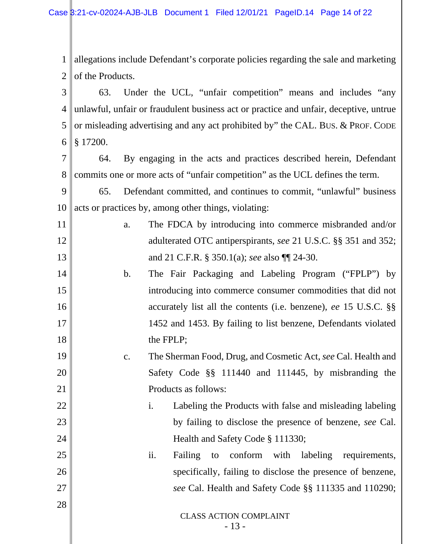1 2 3 allegations include Defendant's corporate policies regarding the sale and marketing of the Products. 63. Under the UCL, "unfair competition" means and includes "any

4 5 6 unlawful, unfair or fraudulent business act or practice and unfair, deceptive, untrue or misleading advertising and any act prohibited by" the CAL. BUS. & PROF. CODE § 17200.

7 8 64. By engaging in the acts and practices described herein, Defendant commits one or more acts of "unfair competition" as the UCL defines the term.

9 10 65. Defendant committed, and continues to commit, "unlawful" business acts or practices by, among other things, violating:

11

12

13

14

15

16

17

18

19

20

21

25

26

27

28

- a. The FDCA by introducing into commerce misbranded and/or adulterated OTC antiperspirants, *see* 21 U.S.C. §§ 351 and 352; and 21 C.F.R. § 350.1(a); *see* also ¶¶ 24-30.
- b. The Fair Packaging and Labeling Program ("FPLP") by introducing into commerce consumer commodities that did not accurately list all the contents (i.e. benzene), *ee* 15 U.S.C. §§ 1452 and 1453. By failing to list benzene, Defendants violated the FPLP;

# c. The Sherman Food, Drug, and Cosmetic Act, *see* Cal. Health and Safety Code §§ 111440 and 111445, by misbranding the Products as follows:

- 22 23 24 i. Labeling the Products with false and misleading labeling by failing to disclose the presence of benzene, *see* Cal. Health and Safety Code § 111330;
	- ii. Failing to conform with labeling requirements, specifically, failing to disclose the presence of benzene, *see* Cal. Health and Safety Code §§ 111335 and 110290;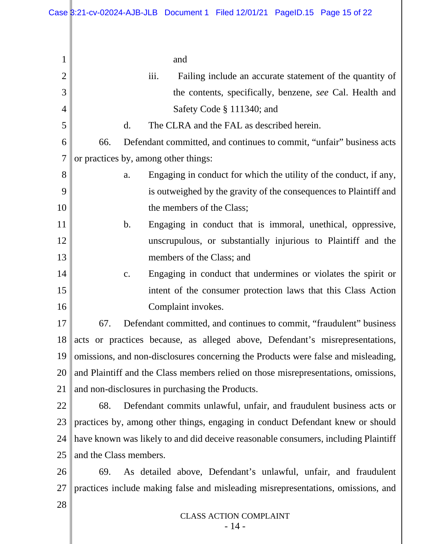| 1              | and                                                                                |  |  |  |  |  |  |
|----------------|------------------------------------------------------------------------------------|--|--|--|--|--|--|
| $\overline{2}$ | iii.<br>Failing include an accurate statement of the quantity of                   |  |  |  |  |  |  |
| 3              | the contents, specifically, benzene, see Cal. Health and                           |  |  |  |  |  |  |
| 4              | Safety Code § 111340; and                                                          |  |  |  |  |  |  |
| 5              | The CLRA and the FAL as described herein.<br>$\mathbf{d}$ .                        |  |  |  |  |  |  |
| 6              | 66.<br>Defendant committed, and continues to commit, "unfair" business acts        |  |  |  |  |  |  |
| $\overline{7}$ | or practices by, among other things:                                               |  |  |  |  |  |  |
| 8              | Engaging in conduct for which the utility of the conduct, if any,<br>a.            |  |  |  |  |  |  |
| 9              | is outweighed by the gravity of the consequences to Plaintiff and                  |  |  |  |  |  |  |
| 10             | the members of the Class;                                                          |  |  |  |  |  |  |
| 11             | $\mathbf b$ .<br>Engaging in conduct that is immoral, unethical, oppressive,       |  |  |  |  |  |  |
| 12             | unscrupulous, or substantially injurious to Plaintiff and the                      |  |  |  |  |  |  |
| 13             | members of the Class; and                                                          |  |  |  |  |  |  |
| 14             | Engaging in conduct that undermines or violates the spirit or<br>c.                |  |  |  |  |  |  |
| 15             | intent of the consumer protection laws that this Class Action                      |  |  |  |  |  |  |
| 16             | Complaint invokes.                                                                 |  |  |  |  |  |  |
| 17             | Defendant committed, and continues to commit, "fraudulent" business<br>67.         |  |  |  |  |  |  |
| 18             | acts or practices because, as alleged above, Defendant's misrepresentations,       |  |  |  |  |  |  |
| 19             | omissions, and non-disclosures concerning the Products were false and misleading,  |  |  |  |  |  |  |
| <b>20</b>      | and Plaintiff and the Class members relied on those misrepresentations, omissions, |  |  |  |  |  |  |
| 21             | and non-disclosures in purchasing the Products.                                    |  |  |  |  |  |  |
| 22             | Defendant commits unlawful, unfair, and fraudulent business acts or<br>68.         |  |  |  |  |  |  |
| 23             | practices by, among other things, engaging in conduct Defendant knew or should     |  |  |  |  |  |  |
| 24             | have known was likely to and did deceive reasonable consumers, including Plaintiff |  |  |  |  |  |  |
| 25             | and the Class members.                                                             |  |  |  |  |  |  |
| 26             | As detailed above, Defendant's unlawful, unfair, and fraudulent<br>69.             |  |  |  |  |  |  |
| 27             | practices include making false and misleading misrepresentations, omissions, and   |  |  |  |  |  |  |
| 28             |                                                                                    |  |  |  |  |  |  |
|                | <b>CLASS ACTION COMPLAINT</b>                                                      |  |  |  |  |  |  |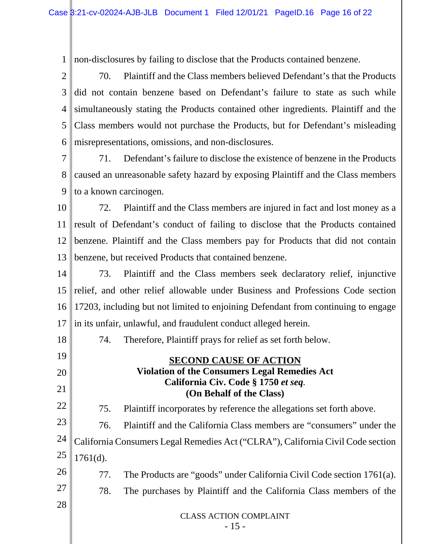1 non-disclosures by failing to disclose that the Products contained benzene.

2 3 4 5 6 70. Plaintiff and the Class members believed Defendant's that the Products did not contain benzene based on Defendant's failure to state as such while simultaneously stating the Products contained other ingredients. Plaintiff and the Class members would not purchase the Products, but for Defendant's misleading misrepresentations, omissions, and non-disclosures.

7 8 9 71. Defendant's failure to disclose the existence of benzene in the Products caused an unreasonable safety hazard by exposing Plaintiff and the Class members to a known carcinogen.

10 11 12 13 72. Plaintiff and the Class members are injured in fact and lost money as a result of Defendant's conduct of failing to disclose that the Products contained benzene. Plaintiff and the Class members pay for Products that did not contain benzene, but received Products that contained benzene.

14 15 16 17 73. Plaintiff and the Class members seek declaratory relief, injunctive relief, and other relief allowable under Business and Professions Code section 17203, including but not limited to enjoining Defendant from continuing to engage in its unfair, unlawful, and fraudulent conduct alleged herein.

18

19

20

21

22

26

27

28

74. Therefore, Plaintiff prays for relief as set forth below.

## **SECOND CAUSE OF ACTION Violation of the Consumers Legal Remedies Act**

## **California Civ. Code § 1750** *et seq.* **(On Behalf of the Class)**

75. Plaintiff incorporates by reference the allegations set forth above.

23 24 25 76. Plaintiff and the California Class members are "consumers" under the California Consumers Legal Remedies Act ("CLRA"), California Civil Code section 1761(d).

77. The Products are "goods" under California Civil Code section 1761(a).

78. The purchases by Plaintiff and the California Class members of the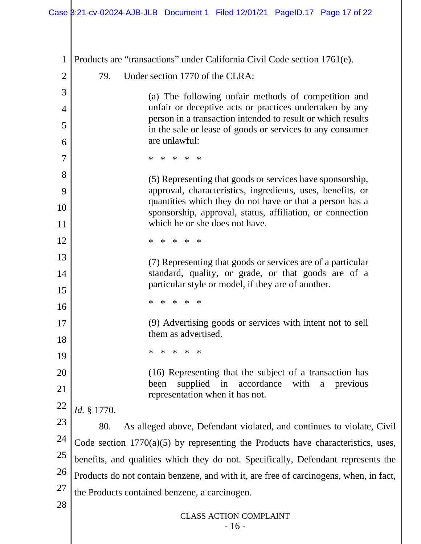CLASS ACTION COMPLAINT  $-16-$ 1 2 3 4 5 6 7 8 9 10 11 12 13 14 15 16 17 18 19 20 21 22 23 24 25 26 27 28 Products are "transactions" under California Civil Code section 1761(e). 79. Under section 1770 of the CLRA: (a) The following unfair methods of competition and unfair or deceptive acts or practices undertaken by any person in a transaction intended to result or which results in the sale or lease of goods or services to any consumer are unlawful: \* \* \* \* \* (5) Representing that goods or services have sponsorship, approval, characteristics, ingredients, uses, benefits, or quantities which they do not have or that a person has a sponsorship, approval, status, affiliation, or connection which he or she does not have. \* \* \* \* \* (7) Representing that goods or services are of a particular standard, quality, or grade, or that goods are of a particular style or model, if they are of another. \* \* \* \* \* (9) Advertising goods or services with intent not to sell them as advertised. \* \* \* \* \* (16) Representing that the subject of a transaction has been supplied in accordance with a previous representation when it has not. *Id.* § 1770. 80. As alleged above, Defendant violated, and continues to violate, Civil Code section 1770(a)(5) by representing the Products have characteristics, uses, benefits, and qualities which they do not. Specifically, Defendant represents the Products do not contain benzene, and with it, are free of carcinogens, when, in fact, the Products contained benzene, a carcinogen.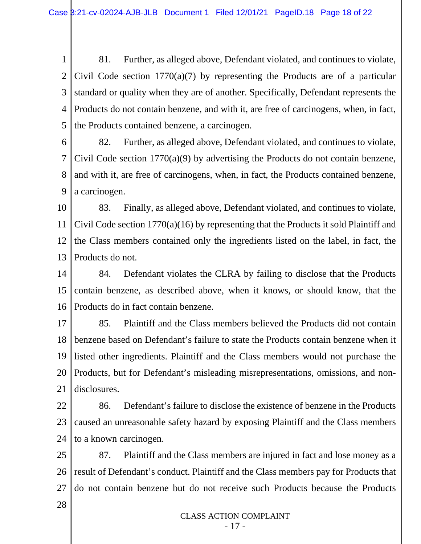1 2 3 4 5 81. Further, as alleged above, Defendant violated, and continues to violate, Civil Code section 1770(a)(7) by representing the Products are of a particular standard or quality when they are of another. Specifically, Defendant represents the Products do not contain benzene, and with it, are free of carcinogens, when, in fact, the Products contained benzene, a carcinogen.

6 7 8 9 82. Further, as alleged above, Defendant violated, and continues to violate, Civil Code section 1770(a)(9) by advertising the Products do not contain benzene, and with it, are free of carcinogens, when, in fact, the Products contained benzene, a carcinogen.

10 11 12 13 83. Finally, as alleged above, Defendant violated, and continues to violate, Civil Code section 1770(a)(16) by representing that the Products it sold Plaintiff and the Class members contained only the ingredients listed on the label, in fact, the Products do not.

14 15 16 84. Defendant violates the CLRA by failing to disclose that the Products contain benzene, as described above, when it knows, or should know, that the Products do in fact contain benzene.

17 18 19 20 21 85. Plaintiff and the Class members believed the Products did not contain benzene based on Defendant's failure to state the Products contain benzene when it listed other ingredients. Plaintiff and the Class members would not purchase the Products, but for Defendant's misleading misrepresentations, omissions, and nondisclosures.

22 23 24 86. Defendant's failure to disclose the existence of benzene in the Products caused an unreasonable safety hazard by exposing Plaintiff and the Class members to a known carcinogen.

25 26 27 87. Plaintiff and the Class members are injured in fact and lose money as a result of Defendant's conduct. Plaintiff and the Class members pay for Products that do not contain benzene but do not receive such Products because the Products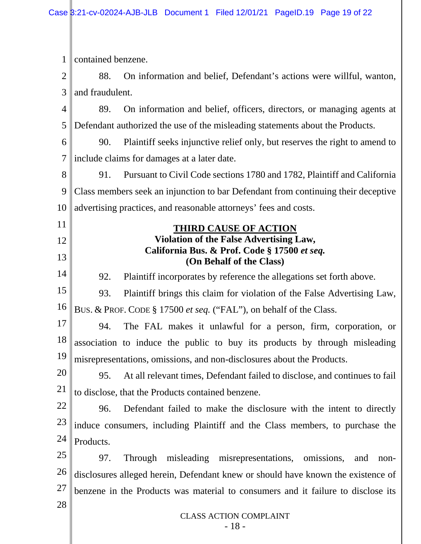CLASS ACTION COMPLAINT 1 2 3 4 5 6 7 8 9 10 11 12 13 14 15 16 17 18 19 20 21 22 23 24 25 26 27 28 contained benzene. 88. On information and belief, Defendant's actions were willful, wanton, and fraudulent. 89. On information and belief, officers, directors, or managing agents at Defendant authorized the use of the misleading statements about the Products. 90. Plaintiff seeks injunctive relief only, but reserves the right to amend to include claims for damages at a later date. 91. Pursuant to Civil Code sections 1780 and 1782, Plaintiff and California Class members seek an injunction to bar Defendant from continuing their deceptive advertising practices, and reasonable attorneys' fees and costs. **THIRD CAUSE OF ACTION Violation of the False Advertising Law, California Bus. & Prof. Code § 17500** *et seq.* **(On Behalf of the Class)** 92. Plaintiff incorporates by reference the allegations set forth above. 93. Plaintiff brings this claim for violation of the False Advertising Law, BUS. & PROF. CODE § 17500 *et seq.* ("FAL"), on behalf of the Class. 94. The FAL makes it unlawful for a person, firm, corporation, or association to induce the public to buy its products by through misleading misrepresentations, omissions, and non-disclosures about the Products. 95. At all relevant times, Defendant failed to disclose, and continues to fail to disclose, that the Products contained benzene. 96. Defendant failed to make the disclosure with the intent to directly induce consumers, including Plaintiff and the Class members, to purchase the Products. 97. Through misleading misrepresentations, omissions, and nondisclosures alleged herein, Defendant knew or should have known the existence of benzene in the Products was material to consumers and it failure to disclose its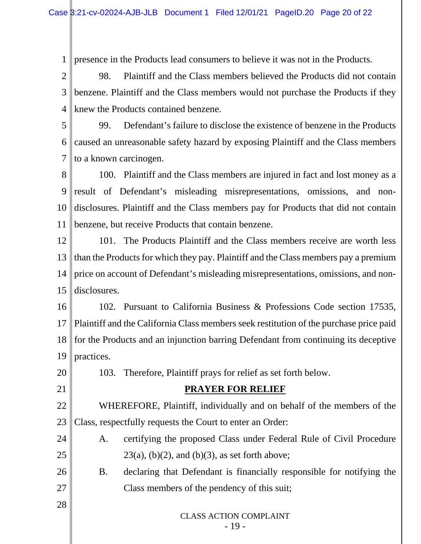1 presence in the Products lead consumers to believe it was not in the Products.

2 3 4 98. Plaintiff and the Class members believed the Products did not contain benzene. Plaintiff and the Class members would not purchase the Products if they knew the Products contained benzene.

5 6 7 99. Defendant's failure to disclose the existence of benzene in the Products caused an unreasonable safety hazard by exposing Plaintiff and the Class members to a known carcinogen.

8 9 10 11 100. Plaintiff and the Class members are injured in fact and lost money as a result of Defendant's misleading misrepresentations, omissions, and nondisclosures. Plaintiff and the Class members pay for Products that did not contain benzene, but receive Products that contain benzene.

12 13 14 15 101. The Products Plaintiff and the Class members receive are worth less than the Products for which they pay. Plaintiff and the Class members pay a premium price on account of Defendant's misleading misrepresentations, omissions, and nondisclosures.

16 17 18 19 102. Pursuant to California Business & Professions Code section 17535, Plaintiff and the California Class members seek restitution of the purchase price paid for the Products and an injunction barring Defendant from continuing its deceptive practices.

103. Therefore, Plaintiff prays for relief as set forth below.

20

21

28

## **PRAYER FOR RELIEF**

22 23 WHEREFORE, Plaintiff, individually and on behalf of the members of the Class, respectfully requests the Court to enter an Order:

- 24 25 A. certifying the proposed Class under Federal Rule of Civil Procedure  $23(a)$ , (b)(2), and (b)(3), as set forth above;
- 26 27 B. declaring that Defendant is financially responsible for notifying the Class members of the pendency of this suit;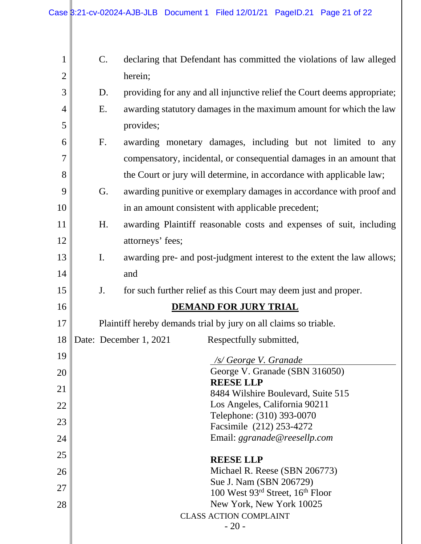$\mathbb{I}$ 

| $\mathbf{1}$   | $\mathsf{C}.$                                                    | declaring that Defendant has committed the violations of law alleged     |  |  |  |  |  |  |
|----------------|------------------------------------------------------------------|--------------------------------------------------------------------------|--|--|--|--|--|--|
| $\overline{2}$ |                                                                  | herein;                                                                  |  |  |  |  |  |  |
| 3              | D.                                                               | providing for any and all injunctive relief the Court deems appropriate; |  |  |  |  |  |  |
| 4              | E.                                                               | awarding statutory damages in the maximum amount for which the law       |  |  |  |  |  |  |
| 5              |                                                                  | provides;                                                                |  |  |  |  |  |  |
| 6              | F.                                                               | awarding monetary damages, including but not limited to any              |  |  |  |  |  |  |
| $\overline{7}$ |                                                                  | compensatory, incidental, or consequential damages in an amount that     |  |  |  |  |  |  |
| 8              |                                                                  | the Court or jury will determine, in accordance with applicable law;     |  |  |  |  |  |  |
| 9              | G.                                                               | awarding punitive or exemplary damages in accordance with proof and      |  |  |  |  |  |  |
| 10             |                                                                  | in an amount consistent with applicable precedent;                       |  |  |  |  |  |  |
| 11             | H.                                                               | awarding Plaintiff reasonable costs and expenses of suit, including      |  |  |  |  |  |  |
| 12             |                                                                  | attorneys' fees;                                                         |  |  |  |  |  |  |
| 13             | I.                                                               | awarding pre- and post-judgment interest to the extent the law allows;   |  |  |  |  |  |  |
| 14             |                                                                  | and                                                                      |  |  |  |  |  |  |
| 15             | J.                                                               | for such further relief as this Court may deem just and proper.          |  |  |  |  |  |  |
| 16             | <b>DEMAND FOR JURY TRIAL</b>                                     |                                                                          |  |  |  |  |  |  |
| 17             | Plaintiff hereby demands trial by jury on all claims so triable. |                                                                          |  |  |  |  |  |  |
| 18             | Date: December 1, 2021<br>Respectfully submitted,                |                                                                          |  |  |  |  |  |  |
| 19             |                                                                  |                                                                          |  |  |  |  |  |  |
|                |                                                                  | /s/ George V. Granade<br>George V. Granade (SBN 316050)                  |  |  |  |  |  |  |
| 20             |                                                                  | <b>REESE LLP</b>                                                         |  |  |  |  |  |  |
| 21             | 8484 Wilshire Boulevard, Suite 515                               |                                                                          |  |  |  |  |  |  |
| 22             |                                                                  | Los Angeles, California 90211<br>Telephone: (310) 393-0070               |  |  |  |  |  |  |
| 23             |                                                                  | Facsimile (212) 253-4272                                                 |  |  |  |  |  |  |
| 24             | Email: ggranade@reesellp.com                                     |                                                                          |  |  |  |  |  |  |
| 25             |                                                                  | <b>REESE LLP</b>                                                         |  |  |  |  |  |  |
| 26             |                                                                  | Michael R. Reese (SBN 206773)                                            |  |  |  |  |  |  |
| 27             |                                                                  | Sue J. Nam (SBN 206729)<br>100 West 93rd Street, 16 <sup>th</sup> Floor  |  |  |  |  |  |  |
| 28             |                                                                  | New York, New York 10025                                                 |  |  |  |  |  |  |
|                | <b>CLASS ACTION COMPLAINT</b><br>$-20-$                          |                                                                          |  |  |  |  |  |  |
|                |                                                                  |                                                                          |  |  |  |  |  |  |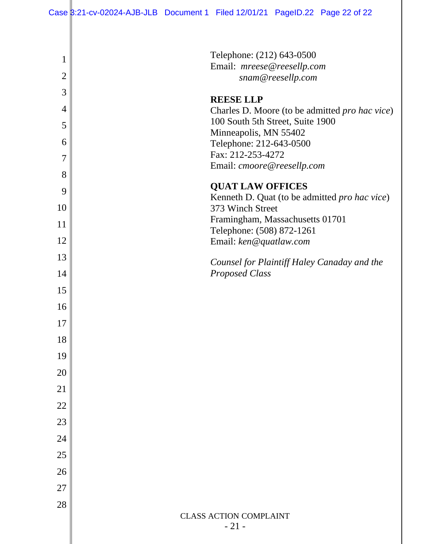# Case 3:21-cv-02024-AJB-JLB Document 1 Filed 12/01/21 PageID.22 Page 22 of 22

| 1              | Telephone: (212) 643-0500                           |
|----------------|-----------------------------------------------------|
|                | Email: mreese@reesellp.com                          |
| $\overline{2}$ | snam@reesellp.com                                   |
| 3              | <b>REESE LLP</b>                                    |
| $\overline{4}$ | Charles D. Moore (to be admitted pro hac vice)      |
| 5              | 100 South 5th Street, Suite 1900                    |
| 6              | Minneapolis, MN 55402<br>Telephone: 212-643-0500    |
| 7              | Fax: 212-253-4272                                   |
|                | Email: cmoore@reesellp.com                          |
| 8              | <b>QUAT LAW OFFICES</b>                             |
| 9              | Kenneth D. Quat (to be admitted pro hac vice)       |
| 10             | 373 Winch Street                                    |
| 11             | Framingham, Massachusetts 01701                     |
| 12             | Telephone: (508) 872-1261<br>Email: ken@quatlaw.com |
| 13             |                                                     |
|                | Counsel for Plaintiff Haley Canaday and the         |
| 14             | <b>Proposed Class</b>                               |
| 15             |                                                     |
| 16             |                                                     |
| 17             |                                                     |
| 18             |                                                     |
| 19             |                                                     |
| 20             |                                                     |
|                |                                                     |
| 21             |                                                     |
| 22             |                                                     |
| 23             |                                                     |
| 24             |                                                     |
| 25             |                                                     |
| 26             |                                                     |
| 27             |                                                     |
|                |                                                     |
| 28             | <b>CLASS ACTION COMPLAINT</b>                       |
|                | $-21-$                                              |
|                |                                                     |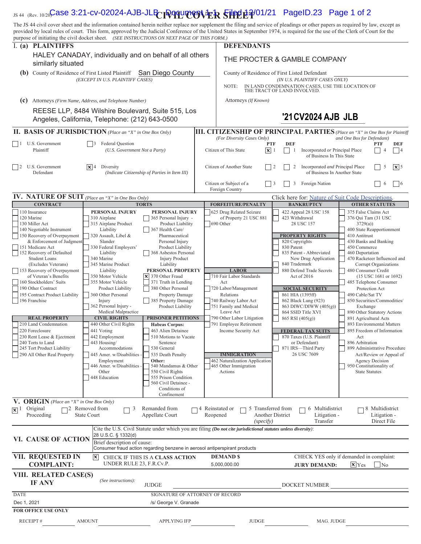## <sub>JS 44 (Rev. 10/20<mark>)Case 3:21-cv-02024-AJB-JLB <sub>L</sub>IQ quinc of the Siled p.21</mark> PageID.23 Page 1 of 2</sub>

The JS 44 civil cover sheet and the information contained herein neither replace nor supplement the filing and service of pleadings or other papers as required by law, except as provided by local rules of court. This form, approved by the Judicial Conference of the United States in September 1974, is required for the use of the Clerk of Court for the purpose of initiating the civil docket sheet. *(SEE INSTRUCTIONS ON NEXT PAGE OF THIS FORM.)*

| purpose of initiating the civil docket sheet. (SEE INSTRUCTIONS ON NEXT PAGE OF THIS FORM.)          |                                                                      |                                                                                                                |          |                                                                                                                   |                                               |                                                       |                                                                                   |                                                                                     |                                 |                           |  |
|------------------------------------------------------------------------------------------------------|----------------------------------------------------------------------|----------------------------------------------------------------------------------------------------------------|----------|-------------------------------------------------------------------------------------------------------------------|-----------------------------------------------|-------------------------------------------------------|-----------------------------------------------------------------------------------|-------------------------------------------------------------------------------------|---------------------------------|---------------------------|--|
| I. (a) PLAINTIFFS                                                                                    |                                                                      |                                                                                                                |          | <b>DEFENDANTS</b>                                                                                                 |                                               |                                                       |                                                                                   |                                                                                     |                                 |                           |  |
| HALEY CANADAY, individually and on behalf of all others<br>similarly situated                        |                                                                      |                                                                                                                |          | THE PROCTER & GAMBLE COMPANY                                                                                      |                                               |                                                       |                                                                                   |                                                                                     |                                 |                           |  |
| (b)                                                                                                  | County of Residence of First Listed Plaintiff                        | San Diego County                                                                                               |          | County of Residence of First Listed Defendant                                                                     |                                               |                                                       |                                                                                   |                                                                                     |                                 |                           |  |
| (EXCEPT IN U.S. PLAINTIFF CASES)                                                                     |                                                                      |                                                                                                                |          | NOTE:                                                                                                             |                                               |                                                       | (IN U.S. PLAINTIFF CASES ONLY)<br>IN LAND CONDEMNATION CASES, USE THE LOCATION OF |                                                                                     |                                 |                           |  |
|                                                                                                      |                                                                      |                                                                                                                |          |                                                                                                                   |                                               | THE TRACT OF LAND INVOLVED.                           |                                                                                   |                                                                                     |                                 |                           |  |
| (c)                                                                                                  | Attorneys (Firm Name, Address, and Telephone Number)                 |                                                                                                                |          | Attorneys (If Known)                                                                                              |                                               |                                                       |                                                                                   |                                                                                     |                                 |                           |  |
| REESE LLP, 8484 Wilshire Boulevard, Suite 515, Los<br>Angeles, California, Telephone: (212) 643-0500 |                                                                      |                                                                                                                |          | '21 CV2024 AJB JLB                                                                                                |                                               |                                                       |                                                                                   |                                                                                     |                                 |                           |  |
| <b>II. BASIS OF JURISDICTION</b> (Place an "X" in One Box Only)                                      |                                                                      |                                                                                                                |          | <b>III. CITIZENSHIP OF PRINCIPAL PARTIES</b> (Place an "X" in One Box for Plaintiff<br>(For Diversity Cases Only) |                                               |                                                       |                                                                                   | and One Box for Defendant)                                                          |                                 |                           |  |
| $1$ U.S. Government<br>Plaintiff                                                                     | <b>Federal Question</b><br>l 13.<br>(U.S. Government Not a Party)    |                                                                                                                |          | Citizen of This State                                                                                             | <b>PTF</b><br>$\mathbf{\overline{x}}$ 1       | <b>DEF</b><br>$\vert \ \ \vert$<br>-1                 | Incorporated or Principal Place<br>of Business In This State                      |                                                                                     | <b>PTF</b>                      | <b>DEF</b><br>$ $  4      |  |
| $\vert$   2<br>U.S. Government<br>Defendant                                                          | $ \mathbf{x} $ 4 Diversity                                           | (Indicate Citizenship of Parties in Item III)                                                                  |          | Citizen of Another State                                                                                          | 2                                             | 2                                                     | Incorporated and Principal Place<br>of Business In Another State                  |                                                                                     | 5                               | $\overline{\mathbf{x}}$ 5 |  |
|                                                                                                      |                                                                      |                                                                                                                |          | Citizen or Subject of a<br>Foreign Country                                                                        | $\vert$ 3                                     | Foreign Nation<br>3                                   |                                                                                   |                                                                                     | 6                               | $\vert$   6               |  |
| <b>IV.</b> NATURE OF SUIT (Place an "X" in One Box Only)                                             |                                                                      |                                                                                                                |          |                                                                                                                   |                                               |                                                       | Click here for: Nature of Suit Code Descriptions.                                 |                                                                                     |                                 |                           |  |
| <b>CONTRACT</b>                                                                                      |                                                                      | <b>TORTS</b>                                                                                                   |          | <b>FORFEITURE/PENALTY</b>                                                                                         |                                               |                                                       | <b>BANKRUPTCY</b>                                                                 | <b>OTHER STATUTES</b>                                                               |                                 |                           |  |
| 110 Insurance<br>120 Marine<br>130 Miller Act<br>140 Negotiable Instrument                           | PERSONAL INJURY<br>310 Airplane<br>315 Airplane Product<br>Liability | PERSONAL INJURY<br>365 Personal Injury -<br>Product Liability<br>367 Health Care/                              |          | 625 Drug Related Seizure<br>of Property 21 USC 881<br>690 Other                                                   |                                               | 422 Appeal 28 USC 158<br>423 Withdrawal<br>28 USC 157 |                                                                                   | 375 False Claims Act<br>376 Qui Tam (31 USC<br>3729(a)<br>400 State Reapportionment |                                 |                           |  |
| 150 Recovery of Overpayment                                                                          | 320 Assault, Libel &                                                 | Pharmaceutical                                                                                                 |          |                                                                                                                   |                                               | <b>PROPERTY RIGHTS</b>                                |                                                                                   | 410 Antitrust                                                                       |                                 |                           |  |
| & Enforcement of Judgment<br>151 Medicare Act                                                        | Slander<br>330 Federal Employers'                                    | Personal Injury<br>Product Liability                                                                           |          |                                                                                                                   |                                               | 820 Copyrights<br>830 Patent                          |                                                                                   | 430 Banks and Banking<br>450 Commerce                                               |                                 |                           |  |
| 152 Recovery of Defaulted                                                                            | Liability                                                            | 368 Asbestos Personal                                                                                          |          |                                                                                                                   |                                               |                                                       | 835 Patent - Abbreviated                                                          | 460 Deportation                                                                     |                                 |                           |  |
| <b>Student Loans</b><br>(Excludes Veterans)                                                          | 340 Marine<br>345 Marine Product                                     | <b>Injury Product</b><br>Liability                                                                             |          |                                                                                                                   |                                               | 840 Trademark                                         | New Drug Application                                                              | 470 Racketeer Influenced and                                                        | Corrupt Organizations           |                           |  |
| 153 Recovery of Overpayment                                                                          | Liability                                                            | PERSONAL PROPERTY                                                                                              |          | <b>LABOR</b>                                                                                                      |                                               |                                                       | 880 Defend Trade Secrets                                                          | 480 Consumer Credit                                                                 |                                 |                           |  |
| of Veteran's Benefits<br>160 Stockholders' Suits                                                     | 350 Motor Vehicle<br>355 Motor Vehicle                               | $\times$ 370 Other Fraud<br>371 Truth in Lending                                                               |          | 710 Fair Labor Standards<br>Act                                                                                   |                                               | Act of 2016                                           |                                                                                   | 485 Telephone Consumer                                                              | $(15$ USC $1681$ or $1692)$     |                           |  |
| 190 Other Contract                                                                                   | Product Liability                                                    | 380 Other Personal                                                                                             |          | 720 Labor/Management                                                                                              |                                               |                                                       | <b>SOCIAL SECURITY</b>                                                            |                                                                                     | Protection Act                  |                           |  |
| 195 Contract Product Liability                                                                       | 360 Other Personal                                                   | <b>Property Damage</b>                                                                                         |          | Relations                                                                                                         |                                               | 861 HIA (1395ff)                                      |                                                                                   | 490 Cable/Sat TV                                                                    |                                 |                           |  |
| 196 Franchise                                                                                        | Injury                                                               | 385 Property Damage                                                                                            |          | 740 Railway Labor Act                                                                                             |                                               | 862 Black Lung (923)                                  |                                                                                   | 850 Securities/Commodities/                                                         |                                 |                           |  |
|                                                                                                      | 362 Personal Injury -<br>Product Liability<br>Medical Malpractice    |                                                                                                                |          | 751 Family and Medical<br>Leave Act                                                                               |                                               | 864 SSID Title XVI                                    | 863 DIWC/DIWW (405(g))                                                            | Exchange<br>890 Other Statutory Actions                                             |                                 |                           |  |
| <b>REAL PROPERTY</b>                                                                                 | <b>CIVIL RIGHTS</b>                                                  | <b>PRISONER PETITIONS</b>                                                                                      |          | 790 Other Labor Litigation                                                                                        |                                               | $865$ RSI $(405(g))$                                  |                                                                                   | 891 Agricultural Acts                                                               |                                 |                           |  |
| 210 Land Condemnation                                                                                | 440 Other Civil Rights                                               | <b>Habeas Corpus:</b>                                                                                          |          | 791 Employee Retirement                                                                                           |                                               |                                                       |                                                                                   | 893 Environmental Matters                                                           |                                 |                           |  |
| 220 Foreclosure<br>230 Rent Lease & Ejectment                                                        | 441 Voting<br>442 Employment                                         | 463 Alien Detainee<br>510 Motions to Vacate                                                                    |          | Income Security Act                                                                                               |                                               |                                                       | <b>FEDERAL TAX SUITS</b><br>870 Taxes (U.S. Plaintiff                             | 895 Freedom of Information<br>Act                                                   |                                 |                           |  |
| 240 Torts to Land                                                                                    | 443 Housing/                                                         | Sentence                                                                                                       |          |                                                                                                                   |                                               |                                                       | or Defendant)                                                                     | 896 Arbitration                                                                     |                                 |                           |  |
| 245 Tort Product Liability                                                                           | Accommodations                                                       | 530 General                                                                                                    |          |                                                                                                                   |                                               | 871 IRS-Third Party                                   |                                                                                   | 899 Administrative Procedure                                                        |                                 |                           |  |
| 290 All Other Real Property                                                                          | 445 Amer. w/Disabilities                                             | 535 Death Penalty                                                                                              |          | <b>IMMIGRATION</b>                                                                                                |                                               |                                                       | 26 USC 7609                                                                       |                                                                                     | Act/Review or Appeal of         |                           |  |
|                                                                                                      | Employment<br>446 Amer. w/Disabilities -                             | Other:<br>540 Mandamus & Other                                                                                 |          | 462 Naturalization Application<br>465 Other Immigration                                                           |                                               |                                                       |                                                                                   | 950 Constitutionality of                                                            | <b>Agency Decision</b>          |                           |  |
|                                                                                                      | Other                                                                | 550 Civil Rights                                                                                               | Actions  |                                                                                                                   |                                               |                                                       |                                                                                   | <b>State Statutes</b>                                                               |                                 |                           |  |
|                                                                                                      | 448 Education<br>555 Prison Condition<br>560 Civil Detainee -        |                                                                                                                |          |                                                                                                                   |                                               |                                                       |                                                                                   |                                                                                     |                                 |                           |  |
|                                                                                                      |                                                                      | Conditions of                                                                                                  |          |                                                                                                                   |                                               |                                                       |                                                                                   |                                                                                     |                                 |                           |  |
|                                                                                                      |                                                                      | Confinement                                                                                                    |          |                                                                                                                   |                                               |                                                       |                                                                                   |                                                                                     |                                 |                           |  |
| V. ORIGIN (Place an "X" in One Box Only)                                                             |                                                                      |                                                                                                                |          |                                                                                                                   |                                               |                                                       |                                                                                   |                                                                                     |                                 |                           |  |
| $\sqrt{\mathbf{x}}$ 1 Original<br>Proceeding                                                         | $\Box$ 2 Removed from<br>3<br><b>State Court</b>                     | Remanded from<br>Appellate Court                                                                               | Reopened | 4 Reinstated or                                                                                                   | 5 Transferred from<br><b>Another District</b> |                                                       | 6 Multidistrict<br>Litigation -                                                   |                                                                                     | 8 Multidistrict<br>Litigation - |                           |  |
|                                                                                                      |                                                                      |                                                                                                                |          | (specify)                                                                                                         |                                               |                                                       | Transfer                                                                          |                                                                                     | Direct File                     |                           |  |
|                                                                                                      |                                                                      | Cite the U.S. Civil Statute under which you are filing (Do not cite jurisdictional statutes unless diversity): |          |                                                                                                                   |                                               |                                                       |                                                                                   |                                                                                     |                                 |                           |  |
|                                                                                                      | 28 U.S.C. § 1332(d)                                                  |                                                                                                                |          |                                                                                                                   |                                               |                                                       |                                                                                   |                                                                                     |                                 |                           |  |
| VI. CAUSE OF ACTION                                                                                  | Brief description of cause:                                          |                                                                                                                |          |                                                                                                                   |                                               |                                                       |                                                                                   |                                                                                     |                                 |                           |  |
|                                                                                                      |                                                                      | Consumer fraud action regarding benzene in aerosol antiperspirant products                                     |          |                                                                                                                   |                                               |                                                       |                                                                                   |                                                                                     |                                 |                           |  |
| VII. REQUESTED IN<br><b>COMPLAINT:</b>                                                               | $ \mathsf{x} $<br>UNDER RULE 23, F.R.Cv.P.                           | CHECK IF THIS IS A CLASS ACTION                                                                                |          | <b>DEMAND \$</b><br>5,000,000.00                                                                                  |                                               |                                                       | CHECK YES only if demanded in complaint:<br><b>JURY DEMAND:</b>                   | $\sqrt{\mathbf{x}}$ Yes                                                             | N <sub>o</sub>                  |                           |  |
| VIII. RELATED CASE(S)<br><b>IF ANY</b>                                                               | (See instructions):                                                  | <b>JUDGE</b>                                                                                                   |          |                                                                                                                   |                                               |                                                       | DOCKET NUMBER                                                                     |                                                                                     |                                 |                           |  |
| <b>DATE</b>                                                                                          |                                                                      | SIGNATURE OF ATTORNEY OF RECORD                                                                                |          |                                                                                                                   |                                               |                                                       |                                                                                   |                                                                                     |                                 |                           |  |
| Dec 1, 2021<br>/s/ George V. Granade                                                                 |                                                                      |                                                                                                                |          |                                                                                                                   |                                               |                                                       |                                                                                   |                                                                                     |                                 |                           |  |
| <b>FOR OFFICE USE ONLY</b>                                                                           |                                                                      |                                                                                                                |          |                                                                                                                   |                                               |                                                       |                                                                                   |                                                                                     |                                 |                           |  |
| RECEIPT#                                                                                             | <b>AMOUNT</b>                                                        | <b>APPLYING IFP</b>                                                                                            |          | <b>JUDGE</b>                                                                                                      |                                               |                                                       | MAG. JUDGE                                                                        |                                                                                     |                                 |                           |  |
|                                                                                                      |                                                                      |                                                                                                                |          |                                                                                                                   |                                               |                                                       |                                                                                   |                                                                                     |                                 |                           |  |